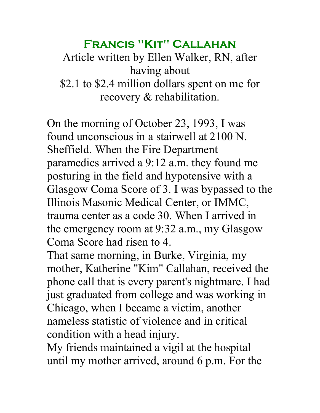## **Francis "Kit" Callahan**

Article written by Ellen Walker, RN, after having about \$2.1 to \$2.4 million dollars spent on me for recovery & rehabilitation.

On the morning of October 23, 1993, I was found unconscious in a stairwell at 2100 N. Sheffield. When the Fire Department paramedics arrived a 9:12 a.m. they found me posturing in the field and hypotensive with a Glasgow Coma Score of 3. I was bypassed to the Illinois Masonic Medical Center, or IMMC, trauma center as a code 30. When I arrived in the emergency room at 9:32 a.m., my Glasgow Coma Score had risen to 4.

That same morning, in Burke, Virginia, my mother, Katherine "Kim" Callahan, received the phone call that is every parent's nightmare. I had just graduated from college and was working in Chicago, when I became a victim, another nameless statistic of violence and in critical condition with a head injury.

My friends maintained a vigil at the hospital until my mother arrived, around 6 p.m. For the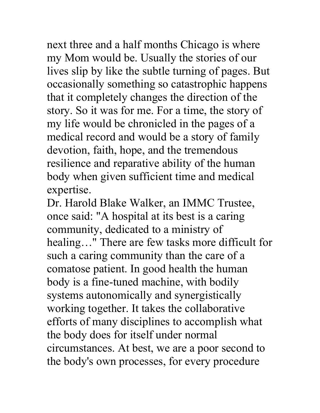next three and a half months Chicago is where my Mom would be. Usually the stories of our lives slip by like the subtle turning of pages. But occasionally something so catastrophic happens that it completely changes the direction of the story. So it was for me. For a time, the story of my life would be chronicled in the pages of a medical record and would be a story of family devotion, faith, hope, and the tremendous resilience and reparative ability of the human body when given sufficient time and medical expertise.

Dr. Harold Blake Walker, an IMMC Trustee, once said: "A hospital at its best is a caring community, dedicated to a ministry of healing…" There are few tasks more difficult for such a caring community than the care of a comatose patient. In good health the human body is a fine-tuned machine, with bodily systems autonomically and synergistically working together. It takes the collaborative efforts of many disciplines to accomplish what the body does for itself under normal circumstances. At best, we are a poor second to the body's own processes, for every procedure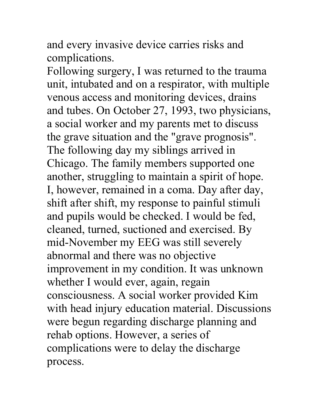and every invasive device carries risks and complications.

Following surgery, I was returned to the trauma unit, intubated and on a respirator, with multiple venous access and monitoring devices, drains and tubes. On October 27, 1993, two physicians, a social worker and my parents met to discuss the grave situation and the "grave prognosis". The following day my siblings arrived in Chicago. The family members supported one another, struggling to maintain a spirit of hope. I, however, remained in a coma. Day after day, shift after shift, my response to painful stimuli and pupils would be checked. I would be fed, cleaned, turned, suctioned and exercised. By mid-November my EEG was still severely abnormal and there was no objective improvement in my condition. It was unknown whether I would ever, again, regain consciousness. A social worker provided Kim with head injury education material. Discussions were begun regarding discharge planning and rehab options. However, a series of complications were to delay the discharge process.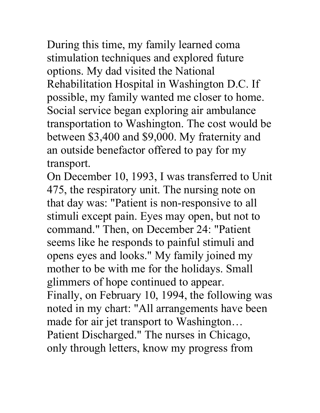During this time, my family learned coma stimulation techniques and explored future options. My dad visited the National Rehabilitation Hospital in Washington D.C. If possible, my family wanted me closer to home. Social service began exploring air ambulance transportation to Washington. The cost would be between \$3,400 and \$9,000. My fraternity and an outside benefactor offered to pay for my transport.

On December 10, 1993, I was transferred to Unit 475, the respiratory unit. The nursing note on that day was: "Patient is non-responsive to all stimuli except pain. Eyes may open, but not to command." Then, on December 24: "Patient seems like he responds to painful stimuli and opens eyes and looks." My family joined my mother to be with me for the holidays. Small glimmers of hope continued to appear. Finally, on February 10, 1994, the following was noted in my chart: "All arrangements have been made for air jet transport to Washington… Patient Discharged." The nurses in Chicago, only through letters, know my progress from